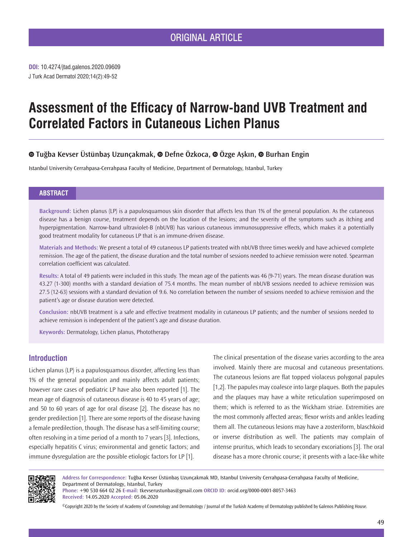J Turk Acad Dermatol 2020;14(2):49-52 **DOI:** 10.4274/jtad.galenos.2020.09609

# **Assessment of the Efficacy of Narrow-band UVB Treatment and Correlated Factors in Cutaneous Lichen Planus**

# **Tuğba Kevser Üstünbaş Uzunçakmak,Defne Özkoca,Özge Aşkın,Burhan Engin**

Istanbul University Cerrahpasa-Cerrahpasa Faculty of Medicine, Department of Dermatology, Istanbul, Turkey

#### **ABSTRACT**

**Background:** Lichen planus (LP) is a papulosquamous skin disorder that affects less than 1% of the general population. As the cutaneous disease has a benign course, treatment depends on the location of the lesions; and the severity of the symptoms such as itching and hyperpigmentation. Narrow-band ultraviolet-B (nbUVB) has various cutaneous immunosuppressive effects, which makes it a potentially good treatment modality for cutaneous LP that is an immune-driven disease.

**Materials and Methods:** We present a total of 49 cutaneous LP patients treated with nbUVB three times weekly and have achieved complete remission. The age of the patient, the disease duration and the total number of sessions needed to achieve remission were noted. Spearman correlation coefficient was calculated.

**Results:** A total of 49 patients were included in this study. The mean age of the patients was 46 (9-71) years. The mean disease duration was 43.27 (1-300) months with a standard deviation of 75.4 months. The mean number of nbUVB sessions needed to achieve remission was 27.5 (12-63) sessions with a standard deviation of 9.6. No correlation between the number of sessions needed to achieve remission and the patient's age or disease duration were detected.

**Conclusion:** nbUVB treatment is a safe and effective treatment modality in cutaneous LP patients; and the number of sessions needed to achieve remission is independent of the patient's age and disease duration.

**Keywords:** Dermatology, Lichen planus, Phototherapy

## **Introduction**

Lichen planus (LP) is a papulosquamous disorder, affecting less than 1% of the general population and mainly affects adult patients; however rare cases of pediatric LP have also been reported [1]. The mean age of diagnosis of cutaneous disease is 40 to 45 years of age; and 50 to 60 years of age for oral disease [2]. The disease has no gender predilection [1]. There are some reports of the disease having a female predilection, though. The disease has a self-limiting course; often resolving in a time period of a month to 7 years [3]. Infections, especially hepatitis C virus; environmental and genetic factors; and immune dysregulation are the possible etiologic factors for LP [1].

The clinical presentation of the disease varies according to the area involved. Mainly there are mucosal and cutaneous presentations. The cutaneous lesions are flat topped violaceus polygonal papules [1,2]. The papules may coalesce into large plaques. Both the papules and the plaques may have a white reticulation superimposed on them; which is referred to as the Wickham striae. Extremities are the most commonly affected areas; flexor wrists and ankles leading them all. The cutaneous lesions may have a zosteriform, blaschkoid or inverse distribution as well. The patients may complain of intense pruritus, which leads to secondary excoriations [3]. The oral disease has a more chronic course; it presents with a lace-like white



**Address for Correspondence:** Tuğba Kevser Üstünbaş Uzunçakmak MD, Istanbul University Cerrahpasa-Cerrahpasa Faculty of Medicine, Department of Dermatology, Istanbul, Turkey

**Phone:** +90 530 664 02 26 **E-mail:** tkevserustunbas@gmail.com **ORCID ID:** orcid.org/0000-0001-8057-3463 **Received:** 14.05.2020 **Accepted:** 05.06.2020

©Copyright 2020 by the Society of Academy of Cosmetology and Dermatology / Journal of the Turkish Academy of Dermatology published by Galenos Publishing House.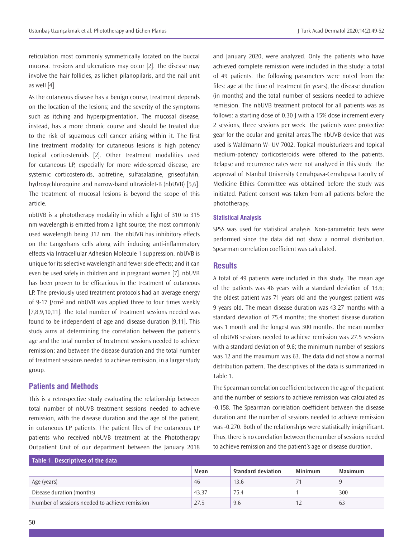reticulation most commonly symmetrically located on the buccal mucosa. Erosions and ulcerations may occur [2]. The disease may involve the hair follicles, as lichen pilanopilaris, and the nail unit as well [4].

As the cutaneous disease has a benign course, treatment depends on the location of the lesions; and the severity of the symptoms such as itching and hyperpigmentation. The mucosal disease, instead, has a more chronic course and should be treated due to the risk of squamous cell cancer arising within it. The first line treatment modality for cutaneous lesions is high potency topical corticosteroids [2]. Other treatment modalities used for cutaneous LP, especially for more wide-spread disease, are systemic corticosteroids, acitretine, sulfasalazine, griseofulvin, hydroxychloroquine and narrow-band ultraviolet-B (nbUVB) [5,6]. The treatment of mucosal lesions is beyond the scope of this article.

nbUVB is a phototherapy modality in which a light of 310 to 315 nm wavelength is emitted from a light source; the most commonly used wavelength being 312 nm. The nbUVB has inhibitory effects on the Langerhans cells along with inducing anti-inflammatory effects via Intracellular Adhesion Molecule 1 suppression. nbUVB is unique for its selective wavelength and fewer side effects; and it can even be used safely in children and in pregnant women [7]. nbUVB has been proven to be efficacious in the treatment of cutaneous LP. The previously used treatment protocols had an average energy of 9-17 J/cm2 and nbUVB was applied three to four times weekly [7,8,9,10,11]. The total number of treatment sessions needed was found to be independent of age and disease duration [9,11]. This study aims at determining the correlation between the patient's age and the total number of treatment sessions needed to achieve remission; and between the disease duration and the total number of treatment sessions needed to achieve remission, in a larger study group.

#### **Patients and Methods**

This is a retrospective study evaluating the relationship between total number of nbUVB treatment sessions needed to achieve remission, with the disease duration and the age of the patient, in cutaneous LP patients. The patient files of the cutaneous LP patients who received nbUVB treatment at the Phototherapy Outpatient Unit of our department between the January 2018

and January 2020, were analyzed. Only the patients who have achieved complete remission were included in this study: a total of 49 patients. The following parameters were noted from the files: age at the time of treatment (in years), the disease duration (in months) and the total number of sessions needed to achieve remission. The nbUVB treatment protocol for all patients was as follows: a starting dose of 0.30 J with a 15% dose increment every 2 sessions, three sessions per week. The patients wore protective gear for the ocular and genital areas.The nbUVB device that was used is Waldmann W- UV 7002. Topical mouisturizers and topical medium-potency corticosteroids were offered to the patients. Relapse and recurrence rates were not analyzed in this study. The approval of Istanbul University Cerrahpasa-Cerrahpasa Faculty of Medicine Ethics Committee was obtained before the study was initiated. Patient consent was taken from all patients before the phototherapy.

#### **Statistical Analysis**

SPSS was used for statistical analysis. Non-parametric tests were performed since the data did not show a normal distribution. Spearman correlation coefficient was calculated.

#### **Results**

A total of 49 patients were included in this study. The mean age of the patients was 46 years with a standard deviation of 13.6; the oldest patient was 71 years old and the youngest patient was 9 years old. The mean disease duration was 43.27 months with a standard deviation of 75.4 months; the shortest disease duration was 1 month and the longest was 300 months. The mean number of nbUVB sessions needed to achieve remission was 27.5 sessions with a standard deviation of 9.6; the minimum number of sessions was 12 and the maximum was 63. The data did not show a normal distribution pattern. The descriptives of the data is summarized in Table 1.

The Spearman correlation coefficient between the age of the patient and the number of sessions to achieve remission was calculated as -0.158. The Spearman correlation coefficient between the disease duration and the number of sessions needed to achieve remission was -0.270. Both of the relationships were statistically insignificant. Thus, there is no correlation between the number of sessions needed to achieve remission and the patient's age or disease duration.

| Table 1. Descriptives of the data              |       |                           |                |         |  |  |  |
|------------------------------------------------|-------|---------------------------|----------------|---------|--|--|--|
|                                                | Mean  | <b>Standard deviation</b> | <b>Minimum</b> | Maximum |  |  |  |
| Age (years)                                    | -46   | 13.6                      |                | Q       |  |  |  |
| Disease duration (months)                      | 43.37 | 75.4                      |                | 300     |  |  |  |
| Number of sessions needed to achieve remission | 27.5  | 9.6                       |                | 63      |  |  |  |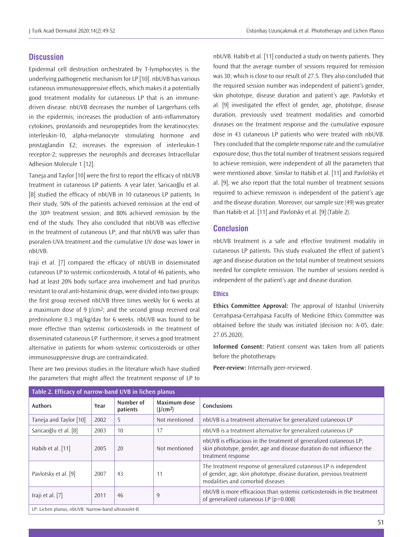# **Discussion**

Epidermal cell destruction orchestrated by T-lymphocytes is the underlying pathogenetic mechanism for LP [10]. nbUVB has various cutaneous immunosuppressive effects, which makes it a potentially good treatment modality for cutaneous LP that is an immunedriven disease. nbUVB decreases the number of Langerhans cells in the epidermis; increases the production of anti-inflammatory cytokines, prostanoids and neuropeptides from the keratinocytes: interleukin-10, alpha-melanocyte stimulating hormone and prostaglandin E2; increases the expression of interleukin-1 receptor-2; suppresses the neurophils and decreases Intracellular Adhesion Molecule 1 [12].

Taneja and Taylor [10] were the first to report the efficacy of nbUVB treatment in cutaneous LP patients. A year later, Saricaoğlu et al. [8] studied the efficacy of nbUVB in 10 cutaneous LP patients. In their study, 50% of the patients achieved remission at the end of the 30<sup>th</sup> treatment session; and 80% achieved remission by the end of the study. They also concluded that nbUVB was effective in the treatment of cutaneous LP; and that nbUVB was safer than psoralen-UVA treatment and the cumulative UV dose was lower in nbUVB.

Iraji et al. [7] compared the efficacy of nbUVB in disseminated cutaneous LP to systemic corticosteroids. A total of 46 patients, who had at least 20% body surface area involvement and had pruritus resistant to oral anti-histaminic drugs, were divided into two groups: the first group received nbUVB three times weekly for 6 weeks at a maximum dose of 9 J/cm2; and the second group received oral prednisolone 0.3 mg/kg/day for 6 weeks. nbUVB was found to be more effective than systemic corticosteroids in the treatment of disseminated cutaneous LP. Furthermore, it serves a good treatment alternative in patients for whom systemic corticosteroids or other immunosuppressive drugs are contraindicated.

There are two previous studies in the literature which have studied the parameters that might affect the treatment response of LP to

nbUVB. Habib et al. [11] conducted a study on twenty patients. They found that the average number of sessions required for remission was 30; which is close to our result of 27.5. They also concluded that the required session number was independent of patient's gender, skin phototype, disease duration and patient's age. Pavlotsky et al. [9] investigated the effect of gender, age, phototype, disease duration, previously used treatment modalities and comorbid diseases on the treatment response and the cumulative exposure dose in 43 cutaneous LP patients who were treated with nbUVB. They concluded that the complete response rate and the cumulative exposure dose, thus the total number of treatment sessions required to achieve remission, were independent of all the parameters that were mentioned above. Similar to Habib et al. [11] and Pavlotsky et al. [9], we also report that the total number of treatment sessions required to achieve remission is independent of the patient's age and the disease duration. Moreover, our sample size (49) was greater than Habib et al. [11] and Pavlotsky et al. [9] (Table 2).

### **Conclusion**

nbUVB treatment is a safe and effective treatment modality in cutaneous LP patients. This study evaluated the effect of patient's age and disease duration on the total number of treatment sessions needed for complete remission. The number of sessions needed is independent of the patient's age and disease duration.

#### **Ethics**

**Ethics Committee Approval:** The approval of Istanbul University Cerrahpasa-Cerrahpasa Faculty of Medicine Ethics Committee was obtained before the study was initiated (decision no: A-05, date: 27.05.2020).

**Informed Consent:** Patient consent was taken from all patients before the phototherapy.

**Peer-review:** Internally peer-reviewed.

| Table 2. Efficacy of narrow-band OVB in fiction planus |      |                       |                                      |                                                                                                                                                                               |  |
|--------------------------------------------------------|------|-----------------------|--------------------------------------|-------------------------------------------------------------------------------------------------------------------------------------------------------------------------------|--|
| <b>Authors</b>                                         | Year | Number of<br>patients | Maximum dose<br>(J/cm <sup>2</sup> ) | <b>Conclusions</b>                                                                                                                                                            |  |
| Taneja and Taylor [10]                                 | 2002 | 5.                    | Not mentioned                        | nbUVB is a treatment alternative for generalized cutaneous LP                                                                                                                 |  |
| Saricaoğlu et al. [8]                                  | 2003 | 10                    | 17                                   | nbUVB is a treatment alternative for generalized cutaneous LP                                                                                                                 |  |
| Habib et al. [11]                                      | 2005 | 20                    | Not mentioned                        | nbUVB is efficacious in the treatment of generalized cutaneous LP;<br>skin phototype, gender, age and disease duration do not influence the<br>treatment response             |  |
| Pavlotsky et al. [9]                                   | 2007 | 43                    | 11                                   | The treatment response of generalized cutaneous LP is independent<br>of gender, age, skin phototype, disease duration, previous treatment<br>modalities and comorbid diseases |  |
| Iraji et al. $[7]$                                     | 2011 | 46                    | 9                                    | nbUVB is more efficacious than systemic corticosteroids in the treatment<br>of generalized cutaneous LP ( $p=0.008$ )                                                         |  |
|                                                        |      |                       |                                      |                                                                                                                                                                               |  |

**Table 2. Efficacy of narrow-band UVB in lichen planus**

LP: Lichen planus, nbUVB: Narrow-band ultraviolet-B